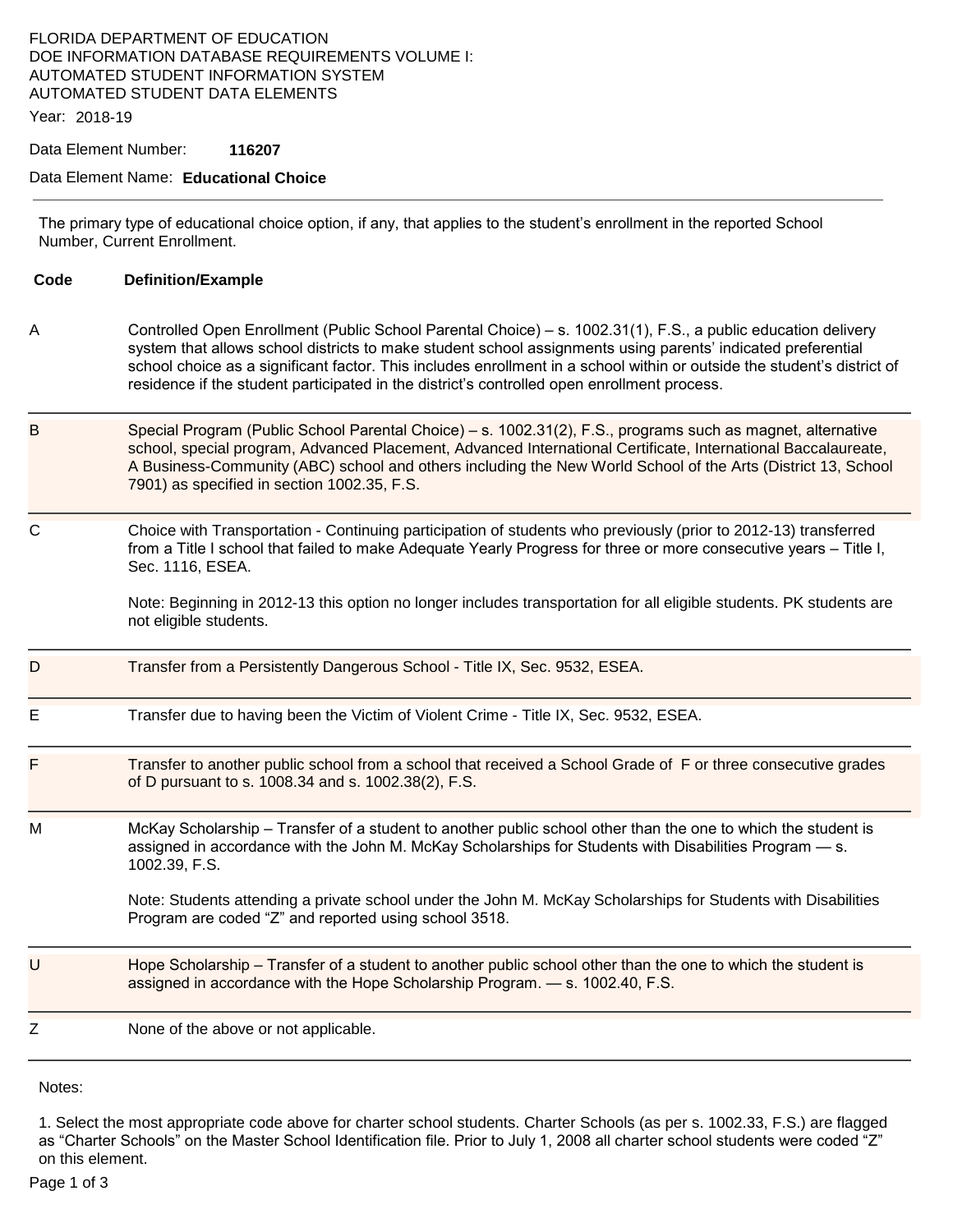### FLORIDA DEPARTMENT OF EDUCATION DOE INFORMATION DATABASE REQUIREMENTS VOLUME I: AUTOMATED STUDENT INFORMATION SYSTEM AUTOMATED STUDENT DATA ELEMENTS

Year: 2018-19

Data Element Number: **116207** 

#### Data Element Name: **Educational Choice**

The primary type of educational choice option, if any, that applies to the student's enrollment in the reported School Number, Current Enrollment.

| Code | <b>Definition/Example</b>                                                                                                                                                                                                                                                                                                                                                                                                                               |
|------|---------------------------------------------------------------------------------------------------------------------------------------------------------------------------------------------------------------------------------------------------------------------------------------------------------------------------------------------------------------------------------------------------------------------------------------------------------|
| A    | Controlled Open Enrollment (Public School Parental Choice) – s. 1002.31(1), F.S., a public education delivery<br>system that allows school districts to make student school assignments using parents' indicated preferential<br>school choice as a significant factor. This includes enrollment in a school within or outside the student's district of<br>residence if the student participated in the district's controlled open enrollment process. |
| B    | Special Program (Public School Parental Choice) – s. 1002.31(2), F.S., programs such as magnet, alternative<br>school, special program, Advanced Placement, Advanced International Certificate, International Baccalaureate,<br>A Business-Community (ABC) school and others including the New World School of the Arts (District 13, School<br>7901) as specified in section 1002.35, F.S.                                                             |
| C    | Choice with Transportation - Continuing participation of students who previously (prior to 2012-13) transferred<br>from a Title I school that failed to make Adequate Yearly Progress for three or more consecutive years - Title I,<br>Sec. 1116, ESEA.<br>Note: Beginning in 2012-13 this option no longer includes transportation for all eligible students. PK students are<br>not eligible students.                                               |
| D    | Transfer from a Persistently Dangerous School - Title IX, Sec. 9532, ESEA.                                                                                                                                                                                                                                                                                                                                                                              |
| Е    | Transfer due to having been the Victim of Violent Crime - Title IX, Sec. 9532, ESEA.                                                                                                                                                                                                                                                                                                                                                                    |
| F    | Transfer to another public school from a school that received a School Grade of F or three consecutive grades<br>of D pursuant to s. 1008.34 and s. 1002.38(2), F.S.                                                                                                                                                                                                                                                                                    |
| М    | McKay Scholarship – Transfer of a student to another public school other than the one to which the student is<br>assigned in accordance with the John M. McKay Scholarships for Students with Disabilities Program - s.<br>1002.39, F.S.<br>Note: Students attending a private school under the John M. McKay Scholarships for Students with Disabilities<br>Program are coded "Z" and reported using school 3518.                                      |
| U    | Hope Scholarship - Transfer of a student to another public school other than the one to which the student is<br>assigned in accordance with the Hope Scholarship Program. - s. 1002.40, F.S.                                                                                                                                                                                                                                                            |
| Z    | None of the above or not applicable.                                                                                                                                                                                                                                                                                                                                                                                                                    |

Notes:

 as "Charter Schools" on the Master School Identification file. Prior to July 1, 2008 all charter school students were coded "Z" 1. Select the most appropriate code above for charter school students. Charter Schools (as per s. 1002.33, F.S.) are flagged on this element.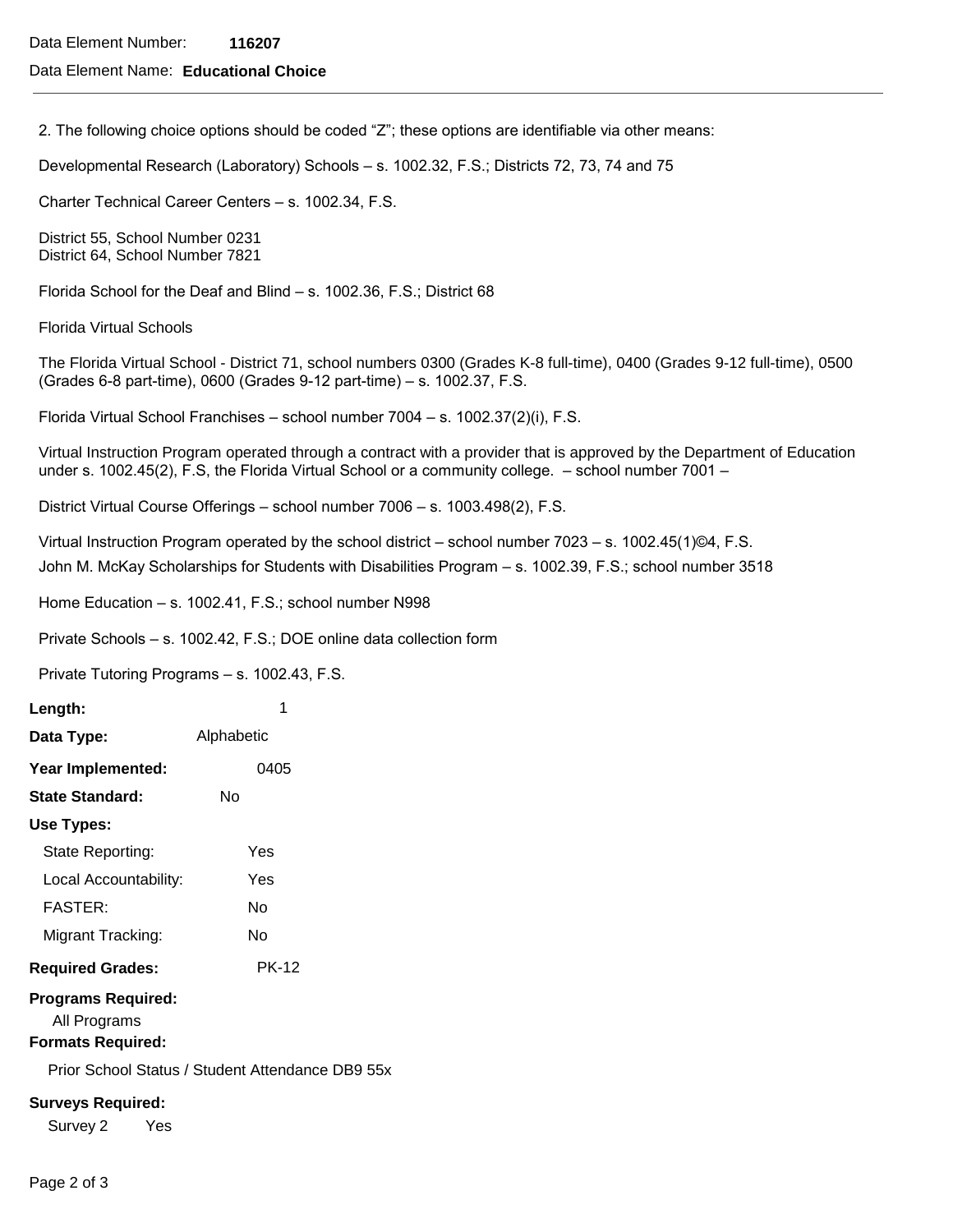#### Data Element Name: **Educational Choice**

2. The following choice options should be coded "Z"; these options are identifiable via other means:

Developmental Research (Laboratory) Schools – s. 1002.32, F.S.; Districts 72, 73, 74 and 75

Charter Technical Career Centers – s. 1002.34, F.S.

District 55, School Number 0231 District 64, School Number 7821

Florida School for the Deaf and Blind – s. 1002.36, F.S.; District 68

Florida Virtual Schools

The Florida Virtual School - District 71, school numbers 0300 (Grades K-8 full-time), 0400 (Grades 9-12 full-time), 0500 (Grades 6-8 part-time), 0600 (Grades 9-12 part-time) – s. 1002.37, F.S.

Florida Virtual School Franchises – school number 7004 – s. 1002.37(2)(i), F.S.

 under s. 1002.45(2), F.S, the Florida Virtual School or a community college. – school number 7001 – Virtual Instruction Program operated through a contract with a provider that is approved by the Department of Education

District Virtual Course Offerings – school number 7006 – s. 1003.498(2), F.S.

Virtual Instruction Program operated by the school district – school number 7023 – s. 1002.45(1)©4, F.S. John M. McKay Scholarships for Students with Disabilities Program – s. 1002.39, F.S.; school number 3518

Home Education – s. 1002.41, F.S.; school number N998

Private Schools – s. 1002.42, F.S.; DOE online data collection form

Private Tutoring Programs – s. 1002.43, F.S.

| Length:                                                                                                                   | 1            |  |  |  |
|---------------------------------------------------------------------------------------------------------------------------|--------------|--|--|--|
| Data Type:                                                                                                                | Alphabetic   |  |  |  |
| Year Implemented:                                                                                                         | 0405         |  |  |  |
| <b>State Standard:</b>                                                                                                    | Nο           |  |  |  |
| Use Types:                                                                                                                |              |  |  |  |
| State Reporting:                                                                                                          | Yes          |  |  |  |
| Local Accountability:                                                                                                     | Yes          |  |  |  |
| <b>FASTER:</b>                                                                                                            | N٥           |  |  |  |
| Migrant Tracking:                                                                                                         | N٥           |  |  |  |
| <b>Required Grades:</b>                                                                                                   | <b>PK-12</b> |  |  |  |
| <b>Programs Required:</b><br>All Programs<br><b>Formats Required:</b><br>Prior School Status / Student Attendance DB9 55x |              |  |  |  |
| <b>Surveys Required:</b><br>Survey 2<br>Yes                                                                               |              |  |  |  |